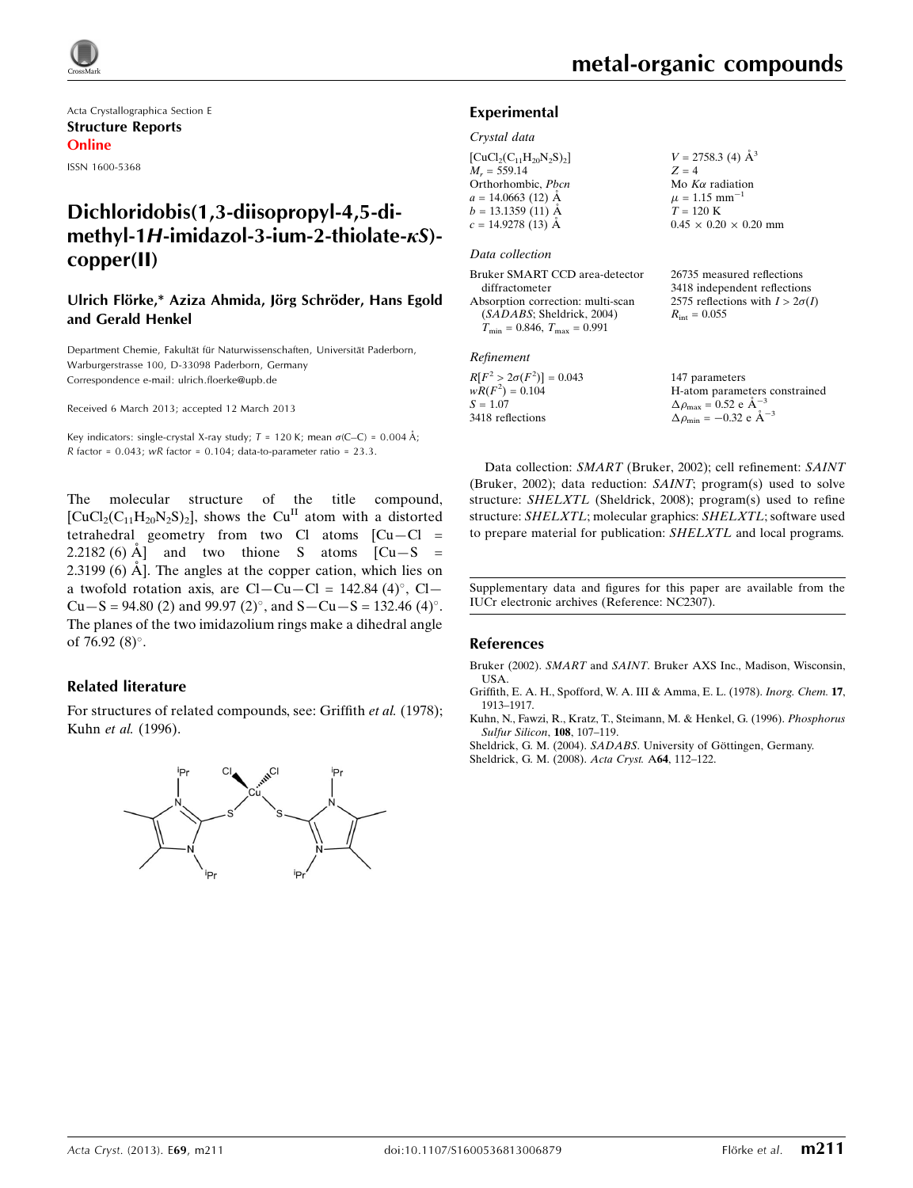

Acta Crystallographica Section E Structure Reports Online ISSN 1600-5368

## Dichloridobis(1,3-diisopropyl-4,5-dimethyl-1H-imidazol-3-ium-2-thiolate- $\kappa S$ )copper(II)

### Ulrich Flörke,\* Aziza Ahmida, Jörg Schröder, Hans Egold and Gerald Henkel

Department Chemie, Fakultät für Naturwissenschaften, Universität Paderborn, Warburgerstrasse 100, D-33098 Paderborn, Germany Correspondence e-mail: [ulrich.floerke@upb.de](https://scripts.iucr.org/cgi-bin/cr.cgi?rm=pdfbb&cnor=nc2307&bbid=BB5)

Received 6 March 2013; accepted 12 March 2013

Key indicators: single-crystal X-ray study;  $T = 120$  K; mean  $\sigma$ (C–C) = 0.004 Å; R factor =  $0.043$ ; wR factor =  $0.104$ ; data-to-parameter ratio =  $23.3$ .

The molecular structure of the title compound,  $[CuCl<sub>2</sub>(C<sub>11</sub>H<sub>20</sub>N<sub>2</sub>S)<sub>2</sub>]$ , shows the Cu<sup>II</sup> atom with a distorted tetrahedral geometry from two Cl atoms  $[Cu-C] =$  $2.2182(6)$  Å and two thione S atoms  $\begin{bmatrix} Cu-S \end{bmatrix}$  $2.3199(6)$  Å. The angles at the copper cation, which lies on a twofold rotation axis, are  $Cl - Cu - Cl = 142.84 \ (4)^\circ$ ,  $Cl Cu-S = 94.80$  (2) and 99.97 (2)°, and  $S - Cu - S = 132.46$  (4)°. The planes of the two imidazolium rings make a dihedral angle of 76.92 $(8)^\circ$ .

### Related literature

For structures of related compounds, see: Griffith et al. (1978); Kuhn et al. (1996).



 $mm$ 

### Experimental

### Crystal data

| $[CuCl2(C11H20N2S)2]$ | $V = 2758.3$ (4) $\AA^3$       |
|-----------------------|--------------------------------|
| $M_r = 559.14$        | $Z = 4$                        |
| Orthorhombic, Pbcn    | Mo $K\alpha$ radiation         |
| $a = 14.0663$ (12) Å  | $\mu = 1.15$ mm <sup>-1</sup>  |
| $b = 13.1359(11)$ Å   | $T = 120 \text{ K}$            |
| $c = 14.9278(13)$ Å   | $0.45 \times 0.20 \times 0.20$ |

### Data collection

| 26735 measured reflections             |
|----------------------------------------|
| 3418 independent reflections           |
| 2575 reflections with $I > 2\sigma(I)$ |
| $R_{\text{int}} = 0.055$               |
|                                        |
|                                        |

### Refinement

| $R[F^2 > 2\sigma(F^2)] = 0.043$ | 147 parameters                                     |
|---------------------------------|----------------------------------------------------|
| $wR(F^2) = 0.104$               | H-atom parameters constrained                      |
| $S = 1.07$                      | $\Delta \rho_{\text{max}} = 0.52 \text{ e A}^{-3}$ |
| 3418 reflections                | $\Delta \rho_{\text{min}} = -0.32$ e $\AA^{-3}$    |

Data collection: SMART (Bruker, 2002); cell refinement: SAINT (Bruker, 2002); data reduction: SAINT; program(s) used to solve structure: SHELXTL (Sheldrick, 2008); program(s) used to refine structure: SHELXTL; molecular graphics: SHELXTL; software used to prepare material for publication: SHELXTL and local programs.

Supplementary data and figures for this paper are available from the IUCr electronic archives (Reference: NC2307).

### References

Bruker (2002). SMART and SAINT[. Bruker AXS Inc., Madison, Wisconsin,](https://scripts.iucr.org/cgi-bin/cr.cgi?rm=pdfbb&cnor=nc2307&bbid=BB1) [USA.](https://scripts.iucr.org/cgi-bin/cr.cgi?rm=pdfbb&cnor=nc2307&bbid=BB1)

[Griffith, E. A. H., Spofford, W. A. III & Amma, E. L. \(1978\).](https://scripts.iucr.org/cgi-bin/cr.cgi?rm=pdfbb&cnor=nc2307&bbid=BB2) Inorg. Chem. 17, [1913–1917.](https://scripts.iucr.org/cgi-bin/cr.cgi?rm=pdfbb&cnor=nc2307&bbid=BB2)

[Kuhn, N., Fawzi, R., Kratz, T., Steimann, M. & Henkel, G. \(1996\).](https://scripts.iucr.org/cgi-bin/cr.cgi?rm=pdfbb&cnor=nc2307&bbid=BB3) Phosphorus [Sulfur Silicon](https://scripts.iucr.org/cgi-bin/cr.cgi?rm=pdfbb&cnor=nc2307&bbid=BB3), 108, 107–119.

Sheldrick, G. M. (2004). SADABS. University of Göttingen, Germany.

[Sheldrick, G. M. \(2008\).](https://scripts.iucr.org/cgi-bin/cr.cgi?rm=pdfbb&cnor=nc2307&bbid=BB5) Acta Cryst. A64, 112–122.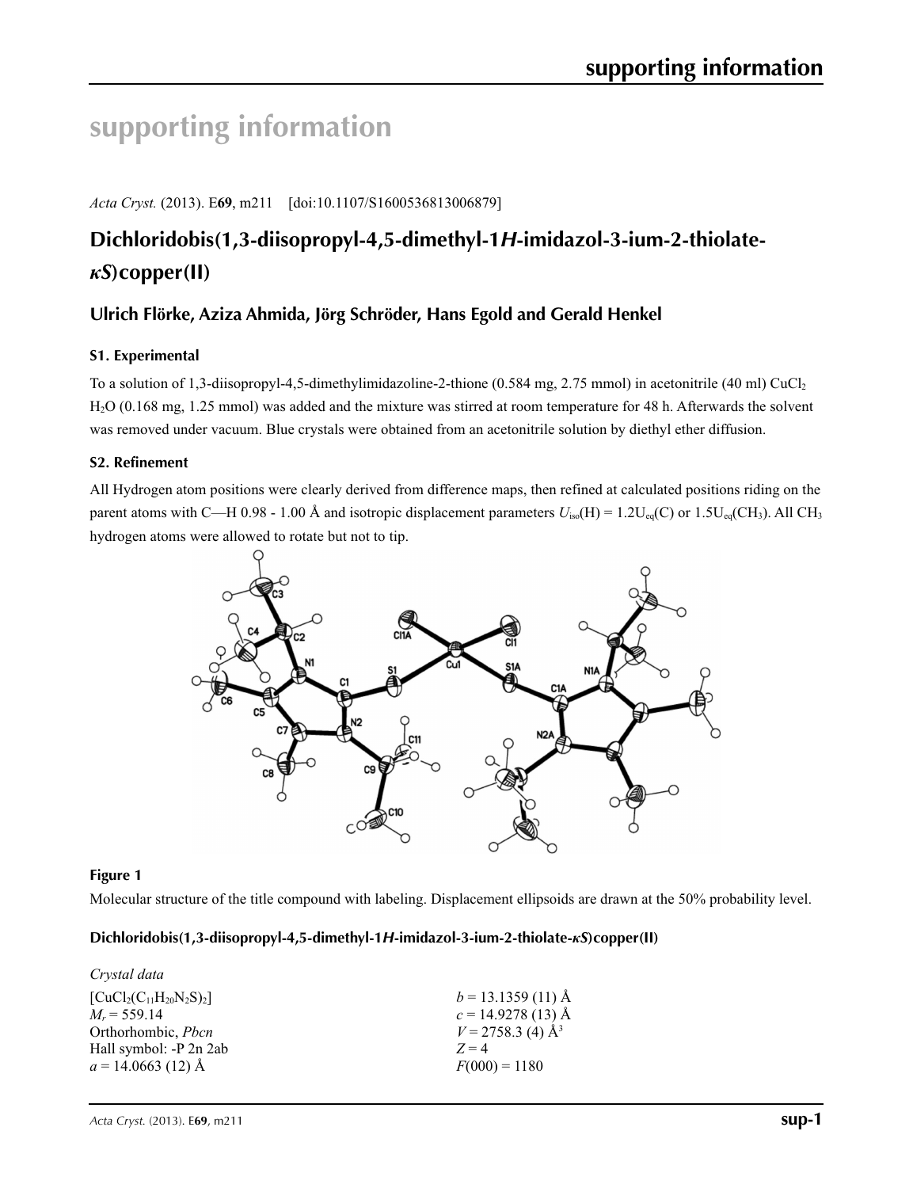# **supporting information**

*Acta Cryst.* (2013). E**69**, m211 [doi:10.1107/S1600536813006879]

## **Dichloridobis(1,3-diisopropyl-4,5-dimethyl-1***H***-imidazol-3-ium-2-thiolate***κS***)copper(II)**

## **Ulrich Flörke, Aziza Ahmida, Jörg Schröder, Hans Egold and Gerald Henkel**

## **S1. Experimental**

To a solution of 1,3-diisopropyl-4,5-dimethylimidazoline-2-thione (0.584 mg, 2.75 mmol) in acetonitrile (40 ml) CuCl<sub>2</sub> H2O (0.168 mg, 1.25 mmol) was added and the mixture was stirred at room temperature for 48 h. Afterwards the solvent was removed under vacuum. Blue crystals were obtained from an acetonitrile solution by diethyl ether diffusion.

## **S2. Refinement**

All Hydrogen atom positions were clearly derived from difference maps, then refined at calculated positions riding on the parent atoms with C—H 0.98 - 1.00 Å and isotropic displacement parameters  $U_{iso}(H) = 1.2U_{eq}(C)$  or 1.5U<sub>eq</sub>(CH<sub>3</sub>). All CH<sub>3</sub> hydrogen atoms were allowed to rotate but not to tip.



## **Figure 1**

Molecular structure of the title compound with labeling. Displacement ellipsoids are drawn at the 50% probability level.

## **Dichloridobis(1,3-diisopropyl-4,5-dimethyl-1***H***-imidazol-3-ium-2-thiolate-***κS***)copper(II)**

| Crystal data              |                                 |
|---------------------------|---------------------------------|
| $[CuCl2(C11H20N2S)2]$     | $b = 13.1359(11)$ Å             |
| $M_r = 559.14$            | $c = 14.9278(13)$ Å             |
| Orthorhombic, <i>Pbcn</i> | $V = 2758.3$ (4) Å <sup>3</sup> |
| Hall symbol: -P 2n 2ab    | $Z=4$                           |
| $a = 14.0663(12)$ Å       | $F(000) = 1180$                 |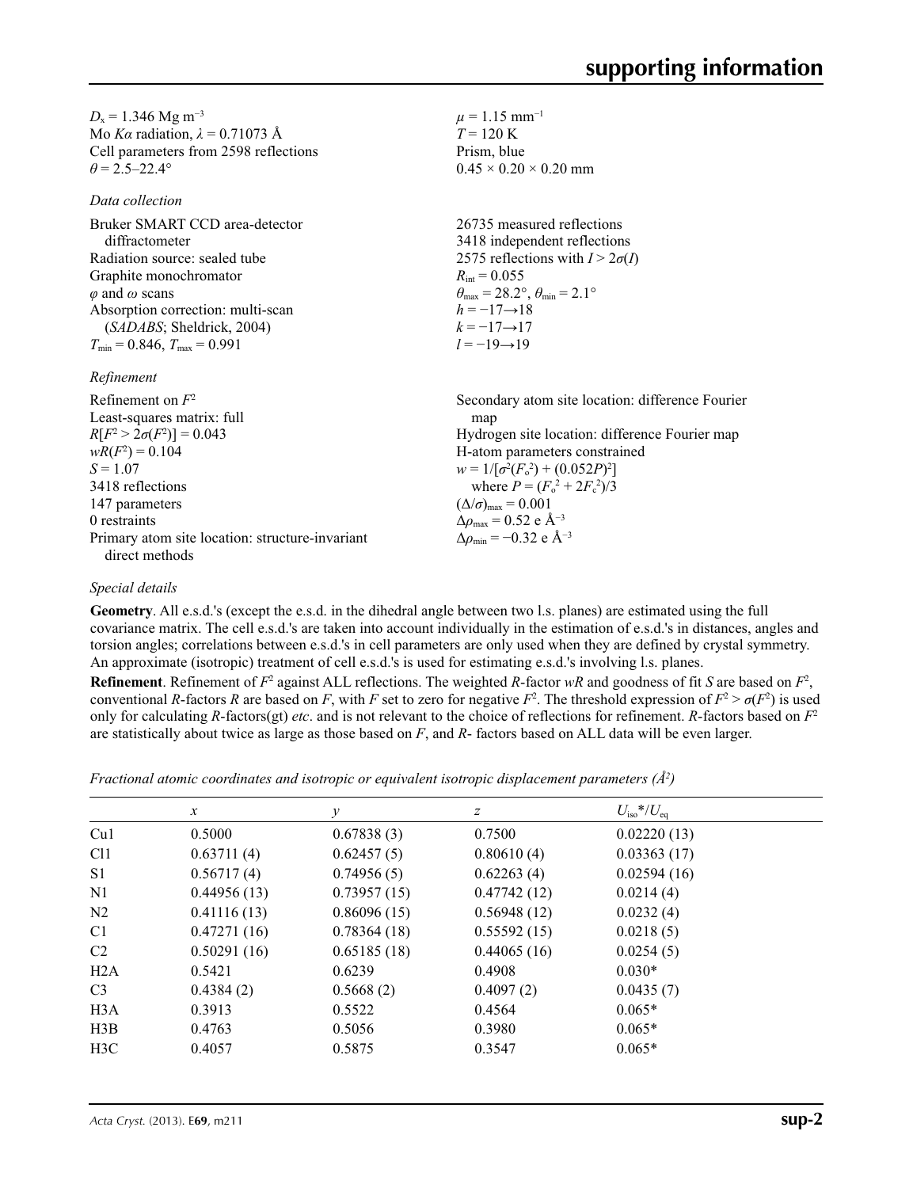$D_x = 1.346$  Mg m<sup>-3</sup> Mo *Kα* radiation,  $\lambda = 0.71073$  Å Cell parameters from 2598 reflections  $\theta$  = 2.5–22.4°

*Data collection*

Bruker SMART CCD area-detector diffractometer Radiation source: sealed tube Graphite monochromator *φ* and *ω* scans Absorption correction: multi-scan (*SADABS*; Sheldrick, 2004)  $T_{\text{min}} = 0.846$ ,  $T_{\text{max}} = 0.991$ 

### *Refinement*

| Secondary atom site location: difference Fourier            |
|-------------------------------------------------------------|
| map                                                         |
| Hydrogen site location: difference Fourier map              |
| H-atom parameters constrained                               |
| $w = 1/[\sigma^2(F_0^2) + (0.052P)^2]$                      |
| where $P = (F_0^2 + 2F_c^2)/3$                              |
| $(\Delta/\sigma)_{\text{max}} = 0.001$                      |
| $\Delta\rho_{\text{max}} = 0.52 \text{ e } \text{\AA}^{-3}$ |
| $\Delta\rho_{\rm min} = -0.32$ e Å <sup>-3</sup>            |
|                                                             |
|                                                             |

## *Special details*

**Geometry**. All e.s.d.'s (except the e.s.d. in the dihedral angle between two l.s. planes) are estimated using the full covariance matrix. The cell e.s.d.'s are taken into account individually in the estimation of e.s.d.'s in distances, angles and torsion angles; correlations between e.s.d.'s in cell parameters are only used when they are defined by crystal symmetry. An approximate (isotropic) treatment of cell e.s.d.'s is used for estimating e.s.d.'s involving l.s. planes.

 $\mu = 1.15$  mm<sup>-1</sup>  $T = 120 \text{ K}$ Prism, blue

 $R_{\text{int}} = 0.055$ 

 $h = -17 \rightarrow 18$  $k = -17 \rightarrow 17$ *l* = −19→19

 $0.45 \times 0.20 \times 0.20$  mm

 $\theta_{\text{max}} = 28.2^{\circ}, \theta_{\text{min}} = 2.1^{\circ}$ 

26735 measured reflections 3418 independent reflections 2575 reflections with  $I > 2\sigma(I)$ 

**Refinement**. Refinement of  $F^2$  against ALL reflections. The weighted *R*-factor  $wR$  and goodness of fit *S* are based on  $F^2$ , conventional *R*-factors *R* are based on *F*, with *F* set to zero for negative  $F^2$ . The threshold expression of  $F^2 > \sigma(F^2)$  is used only for calculating *R*-factors(gt) *etc*. and is not relevant to the choice of reflections for refinement. *R*-factors based on *F*<sup>2</sup> are statistically about twice as large as those based on *F*, and *R*- factors based on ALL data will be even larger.

*Fractional atomic coordinates and isotropic or equivalent isotropic displacement parameters (Å2 )*

|                 | $\mathcal{X}$ | $\mathcal V$ | Ζ           | $U_{\rm iso}*/U_{\rm eq}$ |  |
|-----------------|---------------|--------------|-------------|---------------------------|--|
| Cu1             | 0.5000        | 0.67838(3)   | 0.7500      | 0.02220(13)               |  |
| C <sub>11</sub> | 0.63711(4)    | 0.62457(5)   | 0.80610(4)  | 0.03363(17)               |  |
| S <sub>1</sub>  | 0.56717(4)    | 0.74956(5)   | 0.62263(4)  | 0.02594(16)               |  |
| N <sub>1</sub>  | 0.44956(13)   | 0.73957(15)  | 0.47742(12) | 0.0214(4)                 |  |
| N <sub>2</sub>  | 0.41116(13)   | 0.86096(15)  | 0.56948(12) | 0.0232(4)                 |  |
| C <sub>1</sub>  | 0.47271(16)   | 0.78364(18)  | 0.55592(15) | 0.0218(5)                 |  |
| C <sub>2</sub>  | 0.50291(16)   | 0.65185(18)  | 0.44065(16) | 0.0254(5)                 |  |
| H2A             | 0.5421        | 0.6239       | 0.4908      | $0.030*$                  |  |
| C <sub>3</sub>  | 0.4384(2)     | 0.5668(2)    | 0.4097(2)   | 0.0435(7)                 |  |
| H3A             | 0.3913        | 0.5522       | 0.4564      | $0.065*$                  |  |
| H3B             | 0.4763        | 0.5056       | 0.3980      | $0.065*$                  |  |
| H3C             | 0.4057        | 0.5875       | 0.3547      | $0.065*$                  |  |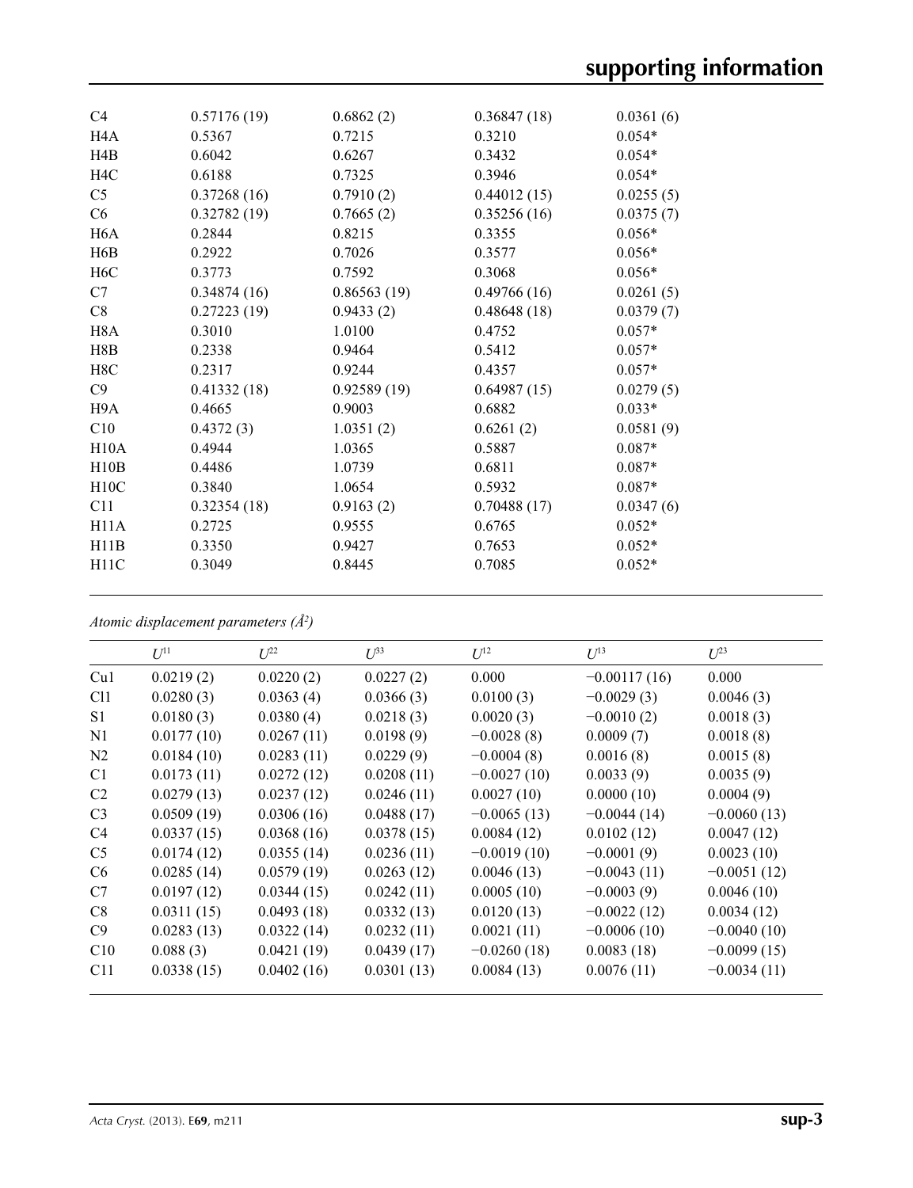| C <sub>4</sub>    | 0.57176(19) | 0.6862(2)   | 0.36847(18) | 0.0361(6) |
|-------------------|-------------|-------------|-------------|-----------|
| H <sub>4</sub> A  | 0.5367      | 0.7215      | 0.3210      | $0.054*$  |
| H4B               | 0.6042      | 0.6267      | 0.3432      | $0.054*$  |
| H <sub>4</sub> C  | 0.6188      | 0.7325      | 0.3946      | $0.054*$  |
| C <sub>5</sub>    | 0.37268(16) | 0.7910(2)   | 0.44012(15) | 0.0255(5) |
| C6                | 0.32782(19) | 0.7665(2)   | 0.35256(16) | 0.0375(7) |
| H <sub>6</sub> A  | 0.2844      | 0.8215      | 0.3355      | $0.056*$  |
| H <sub>6</sub> B  | 0.2922      | 0.7026      | 0.3577      | $0.056*$  |
| H <sub>6</sub> C  | 0.3773      | 0.7592      | 0.3068      | $0.056*$  |
| C7                | 0.34874(16) | 0.86563(19) | 0.49766(16) | 0.0261(5) |
| C8                | 0.27223(19) | 0.9433(2)   | 0.48648(18) | 0.0379(7) |
| H <sub>8</sub> A  | 0.3010      | 1.0100      | 0.4752      | $0.057*$  |
| H8B               | 0.2338      | 0.9464      | 0.5412      | $0.057*$  |
| H8C               | 0.2317      | 0.9244      | 0.4357      | $0.057*$  |
| C9                | 0.41332(18) | 0.92589(19) | 0.64987(15) | 0.0279(5) |
| H <sub>9</sub> A  | 0.4665      | 0.9003      | 0.6882      | $0.033*$  |
| C10               | 0.4372(3)   | 1.0351(2)   | 0.6261(2)   | 0.0581(9) |
| H10A              | 0.4944      | 1.0365      | 0.5887      | $0.087*$  |
| H10B              | 0.4486      | 1.0739      | 0.6811      | $0.087*$  |
| H10C              | 0.3840      | 1.0654      | 0.5932      | $0.087*$  |
| C11               | 0.32354(18) | 0.9163(2)   | 0.70488(17) | 0.0347(6) |
| H11A              | 0.2725      | 0.9555      | 0.6765      | $0.052*$  |
| H11B              | 0.3350      | 0.9427      | 0.7653      | $0.052*$  |
| H <sub>11</sub> C | 0.3049      | 0.8445      | 0.7085      | $0.052*$  |
|                   |             |             |             |           |

*Atomic displacement parameters (Å2 )*

|                 | $U^{11}$   | $L^{22}$   | $I^{\beta 3}$ | $U^{12}$      | $U^{13}$       | $L^{23}$      |
|-----------------|------------|------------|---------------|---------------|----------------|---------------|
| Cu1             | 0.0219(2)  | 0.0220(2)  | 0.0227(2)     | 0.000         | $-0.00117(16)$ | 0.000         |
| C <sub>11</sub> | 0.0280(3)  | 0.0363(4)  | 0.0366(3)     | 0.0100(3)     | $-0.0029(3)$   | 0.0046(3)     |
| S <sub>1</sub>  | 0.0180(3)  | 0.0380(4)  | 0.0218(3)     | 0.0020(3)     | $-0.0010(2)$   | 0.0018(3)     |
| N1              | 0.0177(10) | 0.0267(11) | 0.0198(9)     | $-0.0028(8)$  | 0.0009(7)      | 0.0018(8)     |
| N <sub>2</sub>  | 0.0184(10) | 0.0283(11) | 0.0229(9)     | $-0.0004(8)$  | 0.0016(8)      | 0.0015(8)     |
| C <sub>1</sub>  | 0.0173(11) | 0.0272(12) | 0.0208(11)    | $-0.0027(10)$ | 0.0033(9)      | 0.0035(9)     |
| C <sub>2</sub>  | 0.0279(13) | 0.0237(12) | 0.0246(11)    | 0.0027(10)    | 0.0000(10)     | 0.0004(9)     |
| C <sub>3</sub>  | 0.0509(19) | 0.0306(16) | 0.0488(17)    | $-0.0065(13)$ | $-0.0044(14)$  | $-0.0060(13)$ |
| C4              | 0.0337(15) | 0.0368(16) | 0.0378(15)    | 0.0084(12)    | 0.0102(12)     | 0.0047(12)    |
| C <sub>5</sub>  | 0.0174(12) | 0.0355(14) | 0.0236(11)    | $-0.0019(10)$ | $-0.0001(9)$   | 0.0023(10)    |
| C <sub>6</sub>  | 0.0285(14) | 0.0579(19) | 0.0263(12)    | 0.0046(13)    | $-0.0043(11)$  | $-0.0051(12)$ |
| C7              | 0.0197(12) | 0.0344(15) | 0.0242(11)    | 0.0005(10)    | $-0.0003(9)$   | 0.0046(10)    |
| C8              | 0.0311(15) | 0.0493(18) | 0.0332(13)    | 0.0120(13)    | $-0.0022(12)$  | 0.0034(12)    |
| C9              | 0.0283(13) | 0.0322(14) | 0.0232(11)    | 0.0021(11)    | $-0.0006(10)$  | $-0.0040(10)$ |
| C10             | 0.088(3)   | 0.0421(19) | 0.0439(17)    | $-0.0260(18)$ | 0.0083(18)     | $-0.0099(15)$ |
| C11             | 0.0338(15) | 0.0402(16) | 0.0301(13)    | 0.0084(13)    | 0.0076(11)     | $-0.0034(11)$ |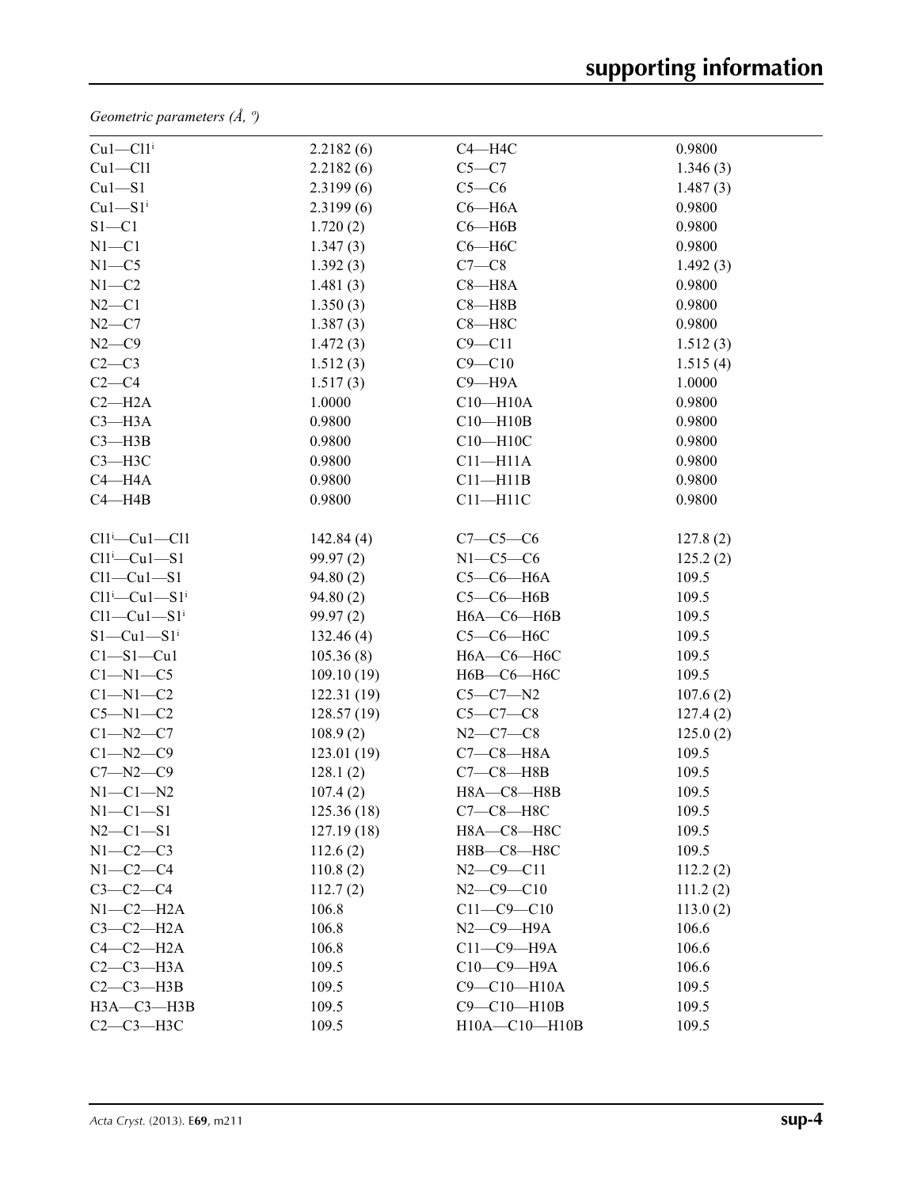*Geometric parameters (Å, º)*

| $Cu1-C11$ <sup>i</sup>           | 2.2182(6)  | $C4 - H4C$          | 0.9800   |
|----------------------------------|------------|---------------------|----------|
| $Cu1 - Cl1$                      | 2.2182(6)  | $C5 - C7$           | 1.346(3) |
| $Cu1-S1$                         | 2.3199(6)  | $C5-C6$             | 1.487(3) |
| $Cu1-S1$ <sup>i</sup>            | 2.3199(6)  | $C6 - H6A$          | 0.9800   |
| $S1 - C1$                        | 1.720(2)   | $C6 - H6B$          | 0.9800   |
| $N1 - C1$                        | 1.347(3)   | $C6 - H6C$          | 0.9800   |
| $N1 - C5$                        | 1.392(3)   | $C7-C8$             | 1.492(3) |
| $N1 - C2$                        | 1.481(3)   | $C8 - H8A$          | 0.9800   |
| $N2-C1$                          | 1.350(3)   | $C8 - H8B$          | 0.9800   |
| $N2-C7$                          | 1.387(3)   | $C8 - H8C$          | 0.9800   |
| $N2-C9$                          | 1.472(3)   | $C9 - C11$          | 1.512(3) |
| $C2-C3$                          | 1.512(3)   | $C9 - C10$          | 1.515(4) |
| $C2-C4$                          | 1.517(3)   | $C9 - H9A$          | 1.0000   |
| $C2 - H2A$                       | 1.0000     | $C10 - H10A$        | 0.9800   |
| $C3 - H3A$                       | 0.9800     | $C10 - H10B$        | 0.9800   |
| $C3 - H3B$                       | 0.9800     | $C10 - H10C$        | 0.9800   |
| $C3 - H3C$                       | 0.9800     | $C11 - H11A$        | 0.9800   |
| $C4 - H4A$                       | 0.9800     | $C11 - H11B$        | 0.9800   |
| $C4 - H4B$                       | 0.9800     | $C11 - H11C$        | 0.9800   |
| $Cl1^i$ -Cu $1$ -Cl1             | 142.84(4)  | $C7 - C5 - C6$      | 127.8(2) |
| $Cl1^i$ -Cu $1$ -S1              | 99.97(2)   | $N1-C5-C6$          | 125.2(2) |
| $Cl1-Cu1-S1$                     | 94.80(2)   | $C5-C6-H6A$         | 109.5    |
| $Cl1^i$ -Cu $1$ -S1 <sup>i</sup> | 94.80(2)   | $C5-C6-H6B$         | 109.5    |
| $Cl1-Cu1-S1$ <sup>i</sup>        | 99.97(2)   | $H6A-C6-H6B$        | 109.5    |
| $S1-Cu1-S1$ <sup>i</sup>         | 132.46(4)  | $C5-C6-H6C$         | 109.5    |
| $Cl - Sl - Cl$                   | 105.36(8)  | $H6A-C6-H6C$        | 109.5    |
| $Cl-M1-C5$                       | 109.10(19) | Н6В-С6-Н6С          | 109.5    |
| $C1 - N1 - C2$                   | 122.31(19) | $C5 - C7 - N2$      | 107.6(2) |
| $C5 - N1 - C2$                   | 128.57(19) | $C5 - C7 - C8$      | 127.4(2) |
| $C1 - N2 - C7$                   | 108.9(2)   | $N2-C7-C8$          | 125.0(2) |
| $C1 - N2 - C9$                   | 123.01(19) | $C7-C8-H8A$         | 109.5    |
| $C7 - N2 - C9$                   | 128.1(2)   | $C7-C8-HBB$         | 109.5    |
| $N1-C1-N2$                       | 107.4(2)   | H8A-C8-H8B          | 109.5    |
| $N1-C1-S1$                       | 125.36(18) | $C7-C8-H8C$         | 109.5    |
| $N2 - C1 - S1$                   | 127.19(18) | Н8А-С8-Н8С          | 109.5    |
| $N1-C2-C3$                       | 112.6(2)   | Н8В-С8-Н8С          | 109.5    |
| $N1-C2-C4$                       | 110.8(2)   | $N2 - C9 - C11$     | 112.2(2) |
| $C3-C2-C4$                       | 112.7(2)   | $N2$ –C9–C10        | 111.2(2) |
| $N1-C2-H2A$                      | 106.8      | $C11 - C9 - C10$    | 113.0(2) |
| $C3-C2-H2A$                      | 106.8      | $N2$ — $C9$ — $H9A$ | 106.6    |
| $C4-C2-H2A$                      | 106.8      | $C11-C9-$ H9A       | 106.6    |
| $C2-C3-H3A$                      | 109.5      | $C10-C9-$ H9A       | 106.6    |
| $C2-C3-H3B$                      | 109.5      | C9-C10-H10A         | 109.5    |
| $H3A - C3 - H3B$                 | 109.5      | C9-C10-H10B         | 109.5    |
| $C2-C3-H3C$                      | 109.5      | H10A-C10-H10B       | 109.5    |